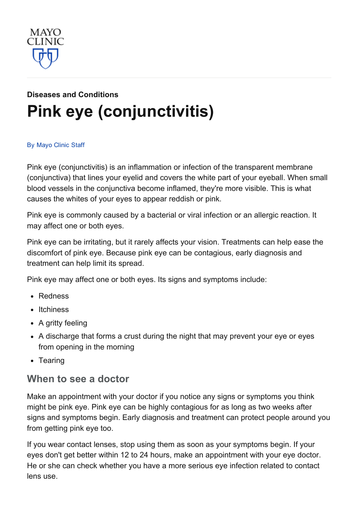

# Diseases and [Conditions](http://www.mayoclinic.org/diseases-conditions) Pink eye [\(conjunctivitis\)](http://www.mayoclinic.org/diseases-conditions/pink-eye/basics/definition/con-20022732)

#### By [Mayo](http://www.mayoclinic.org/about-this-site/welcome) Clinic Staff

Pink eye (conjunctivitis) is an inflammation or infection of the transparent membrane (conjunctiva) that lines your eyelid and covers the white part of your eyeball. When small blood vessels in the conjunctiva become inflamed, they're more visible. This is what causes the whites of your eyes to appear reddish or pink.

Pink eye is commonly caused by a bacterial or viral infection or an allergic reaction. It may affect one or both eyes.

Pink eye can be irritating, but it rarely affects your vision. Treatments can help ease the discomfort of pink eye. Because pink eye can be contagious, early diagnosis and treatment can help limit its spread.

Pink eye may affect one or both eyes. Its signs and symptoms include:

- Redness
- Itchiness
- A gritty feeling
- A discharge that forms a crust during the night that may prevent your eye or eyes from opening in the morning
- Tearing

#### When to see a doctor

Make an appointment with your doctor if you notice any signs or symptoms you think might be pink eye. Pink eye can be highly contagious for as long as two weeks after signs and symptoms begin. Early diagnosis and treatment can protect people around you from getting pink eye too.

If you wear contact lenses, stop using them as soon as your symptoms begin. If your eyes don't get better within 12 to 24 hours, make an appointment with your eye doctor. He or she can check whether you have a more serious eye infection related to contact lens use.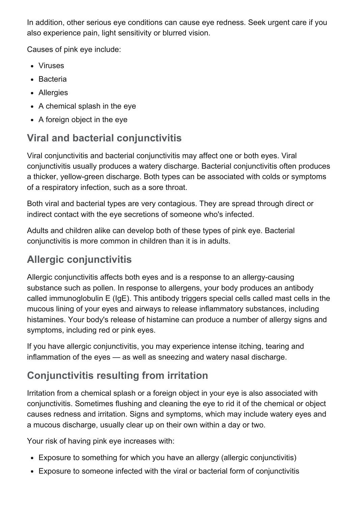In addition, other serious eye conditions can cause eye redness. Seek urgent care if you also experience pain, light sensitivity or blurred vision.

Causes of pink eye include:

- Viruses
- Bacteria
- Allergies
- A chemical splash in the eye
- A foreign object in the eye

# Viral and bacterial conjunctivitis

Viral conjunctivitis and bacterial conjunctivitis may affect one or both eyes. Viral conjunctivitis usually produces a watery discharge. Bacterial conjunctivitis often produces a thicker, yellow-green discharge. Both types can be associated with colds or symptoms of a respiratory infection, such as a sore throat.

Both viral and bacterial types are very contagious. They are spread through direct or indirect contact with the eye secretions of someone who's infected.

Adults and children alike can develop both of these types of pink eye. Bacterial conjunctivitis is more common in children than it is in adults.

# Allergic conjunctivitis

Allergic conjunctivitis affects both eyes and is a response to an allergy-causing substance such as pollen. In response to allergens, your body produces an antibody called immunoglobulin E (IgE). This antibody triggers special cells called mast cells in the mucous lining of your eyes and airways to release inflammatory substances, including histamines. Your body's release of histamine can produce a number of allergy signs and symptoms, including red or pink eyes.

If you have allergic conjunctivitis, you may experience intense itching, tearing and inflammation of the eyes — as well as sneezing and watery nasal discharge.

# Conjunctivitis resulting from irritation

Irritation from a chemical splash or a foreign object in your eye is also associated with conjunctivitis. Sometimes flushing and cleaning the eye to rid it of the chemical or object causes redness and irritation. Signs and symptoms, which may include watery eyes and a mucous discharge, usually clear up on their own within a day or two.

Your risk of having pink eye increases with:

- Exposure to something for which you have an allergy (allergic conjunctivitis)
- Exposure to someone infected with the viral or bacterial form of conjunctivitis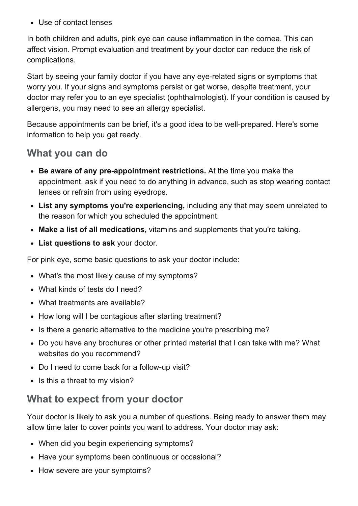Use of contact lenses

In both children and adults, pink eye can cause inflammation in the cornea. This can affect vision. Prompt evaluation and treatment by your doctor can reduce the risk of complications.

Start by seeing your family doctor if you have any eye-related signs or symptoms that worry you. If your signs and symptoms persist or get worse, despite treatment, your doctor may refer you to an eye specialist (ophthalmologist). If your condition is caused by allergens, you may need to see an allergy specialist.

Because appointments can be brief, it's a good idea to be well-prepared. Here's some information to help you get ready.

#### What you can do

- Be aware of any pre-appointment restrictions. At the time you make the appointment, ask if you need to do anything in advance, such as stop wearing contact lenses or refrain from using eyedrops.
- List any symptoms you're experiencing, including any that may seem unrelated to the reason for which you scheduled the appointment.
- Make a list of all medications, vitamins and supplements that you're taking.
- List questions to ask your doctor.

For pink eye, some basic questions to ask your doctor include:

- What's the most likely cause of my symptoms?
- What kinds of tests do I need?
- What treatments are available?
- How long will I be contagious after starting treatment?
- Is there a generic alternative to the medicine you're prescribing me?
- Do you have any brochures or other printed material that I can take with me? What websites do you recommend?
- Do I need to come back for a follow-up visit?
- Is this a threat to my vision?

### What to expect from your doctor

Your doctor is likely to ask you a number of questions. Being ready to answer them may allow time later to cover points you want to address. Your doctor may ask:

- When did you begin experiencing symptoms?
- Have your symptoms been continuous or occasional?
- How severe are your symptoms?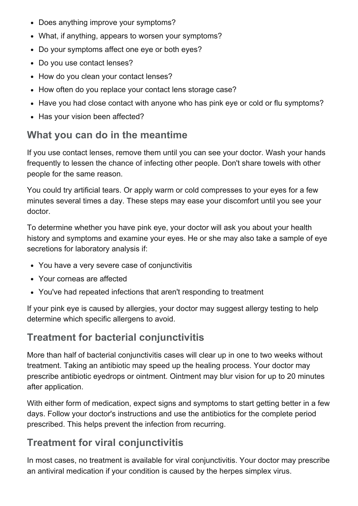- Does anything improve your symptoms?
- What, if anything, appears to worsen your symptoms?
- Do your symptoms affect one eye or both eyes?
- Do you use contact lenses?
- How do you clean your contact lenses?
- How often do you replace your contact lens storage case?
- Have you had close contact with anyone who has pink eye or cold or flu symptoms?
- Has your vision been affected?

### What you can do in the meantime

If you use contact lenses, remove them until you can see your doctor. Wash your hands frequently to lessen the chance of infecting other people. Don't share towels with other people for the same reason.

You could try artificial tears. Or apply warm or cold compresses to your eyes for a few minutes several times a day. These steps may ease your discomfort until you see your doctor.

To determine whether you have pink eye, your doctor will ask you about your health history and symptoms and examine your eyes. He or she may also take a sample of eye secretions for laboratory analysis if:

- You have a very severe case of conjunctivitis
- Your corneas are affected
- You've had repeated infections that aren't responding to treatment

If your pink eye is caused by allergies, your doctor may suggest allergy testing to help determine which specific allergens to avoid.

### Treatment for bacterial conjunctivitis

More than half of bacterial conjunctivitis cases will clear up in one to two weeks without treatment. Taking an antibiotic may speed up the healing process. Your doctor may prescribe antibiotic eyedrops or ointment. Ointment may blur vision for up to 20 minutes after application.

With either form of medication, expect signs and symptoms to start getting better in a few days. Follow your doctor's instructions and use the antibiotics for the complete period prescribed. This helps prevent the infection from recurring.

### Treatment for viral conjunctivitis

In most cases, no treatment is available for viral conjunctivitis. Your doctor may prescribe an antiviral medication if your condition is caused by the herpes simplex virus.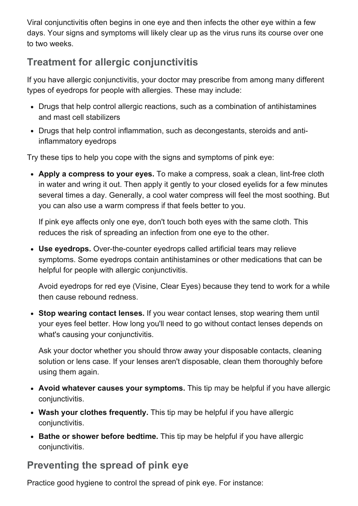Viral conjunctivitis often begins in one eye and then infects the other eye within a few days. Your signs and symptoms will likely clear up as the virus runs its course over one to two weeks.

## Treatment for allergic conjunctivitis

If you have allergic conjunctivitis, your doctor may prescribe from among many different types of eyedrops for people with allergies. These may include:

- Drugs that help control allergic reactions, such as a combination of antihistamines and mast cell stabilizers
- Drugs that help control inflammation, such as decongestants, steroids and antiinflammatory eyedrops

Try these tips to help you cope with the signs and symptoms of pink eye:

• Apply a compress to your eyes. To make a compress, soak a clean, lint-free cloth in water and wring it out. Then apply it gently to your closed eyelids for a few minutes several times a day. Generally, a cool water compress will feel the most soothing. But you can also use a warm compress if that feels better to you.

If pink eye affects only one eye, don't touch both eyes with the same cloth. This reduces the risk of spreading an infection from one eye to the other.

• Use eyedrops. Over-the-counter eyedrops called artificial tears may relieve symptoms. Some eyedrops contain antihistamines or other medications that can be helpful for people with allergic conjunctivitis.

Avoid eyedrops for red eye (Visine, Clear Eyes) because they tend to work for a while then cause rebound redness.

• Stop wearing contact lenses. If you wear contact lenses, stop wearing them until your eyes feel better. How long you'll need to go without contact lenses depends on what's causing your conjunctivitis.

Ask your doctor whether you should throw away your disposable contacts, cleaning solution or lens case. If your lenses aren't disposable, clean them thoroughly before using them again.

- Avoid whatever causes your symptoms. This tip may be helpful if you have allergic conjunctivitis.
- Wash your clothes frequently. This tip may be helpful if you have allergic conjunctivitis.
- Bathe or shower before bedtime. This tip may be helpful if you have allergic conjunctivitis.

### Preventing the spread of pink eye

Practice good hygiene to control the spread of pink eye. For instance: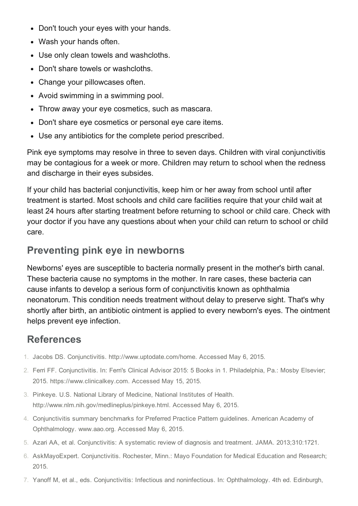- Don't touch your eyes with your hands.
- Wash your hands often.
- Use only clean towels and washcloths.
- Don't share towels or washcloths.
- Change your pillowcases often.
- Avoid swimming in a swimming pool.
- Throw away your eye cosmetics, such as mascara.
- Don't share eye cosmetics or personal eye care items.
- Use any antibiotics for the complete period prescribed.

Pink eye symptoms may resolve in three to seven days. Children with viral conjunctivitis may be contagious for a week or more. Children may return to school when the redness and discharge in their eyes subsides.

If your child has bacterial conjunctivitis, keep him or her away from school until after treatment is started. Most schools and child care facilities require that your child wait at least 24 hours after starting treatment before returning to school or child care. Check with your doctor if you have any questions about when your child can return to school or child care.

#### Preventing pink eye in newborns

Newborns' eyes are susceptible to bacteria normally present in the mother's birth canal. These bacteria cause no symptoms in the mother. In rare cases, these bacteria can cause infants to develop a serious form of conjunctivitis known as ophthalmia neonatorum. This condition needs treatment without delay to preserve sight. That's why shortly after birth, an antibiotic ointment is applied to every newborn's eyes. The ointment helps prevent eye infection.

#### References

- 1. Jacobs DS. Conjunctivitis. http://www.uptodate.com/home. Accessed May 6, 2015.
- 2. Ferri FF. Conjunctivitis. In: Ferri's Clinical Advisor 2015: 5 Books in 1. Philadelphia, Pa.: Mosby Elsevier; 2015. https://www.clinicalkey.com. Accessed May 15, 2015.
- 3. Pinkeye. U.S. National Library of Medicine, National Institutes of Health. http://www.nlm.nih.gov/medlineplus/pinkeye.html. Accessed May 6, 2015.
- 4. Conjunctivitis summary benchmarks for Preferred Practice Pattern guidelines. American Academy of Ophthalmology. www.aao.org. Accessed May 6, 2015.
- 5. Azari AA, et al. Conjunctivitis: A systematic review of diagnosis and treatment. JAMA. 2013;310:1721.
- 6. AskMayoExpert. Conjunctivitis. Rochester, Minn.: Mayo Foundation for Medical Education and Research; 2015.
- 7. Yanoff M, et al., eds. Conjunctivitis: Infectious and noninfectious. In: Ophthalmology. 4th ed. Edinburgh,